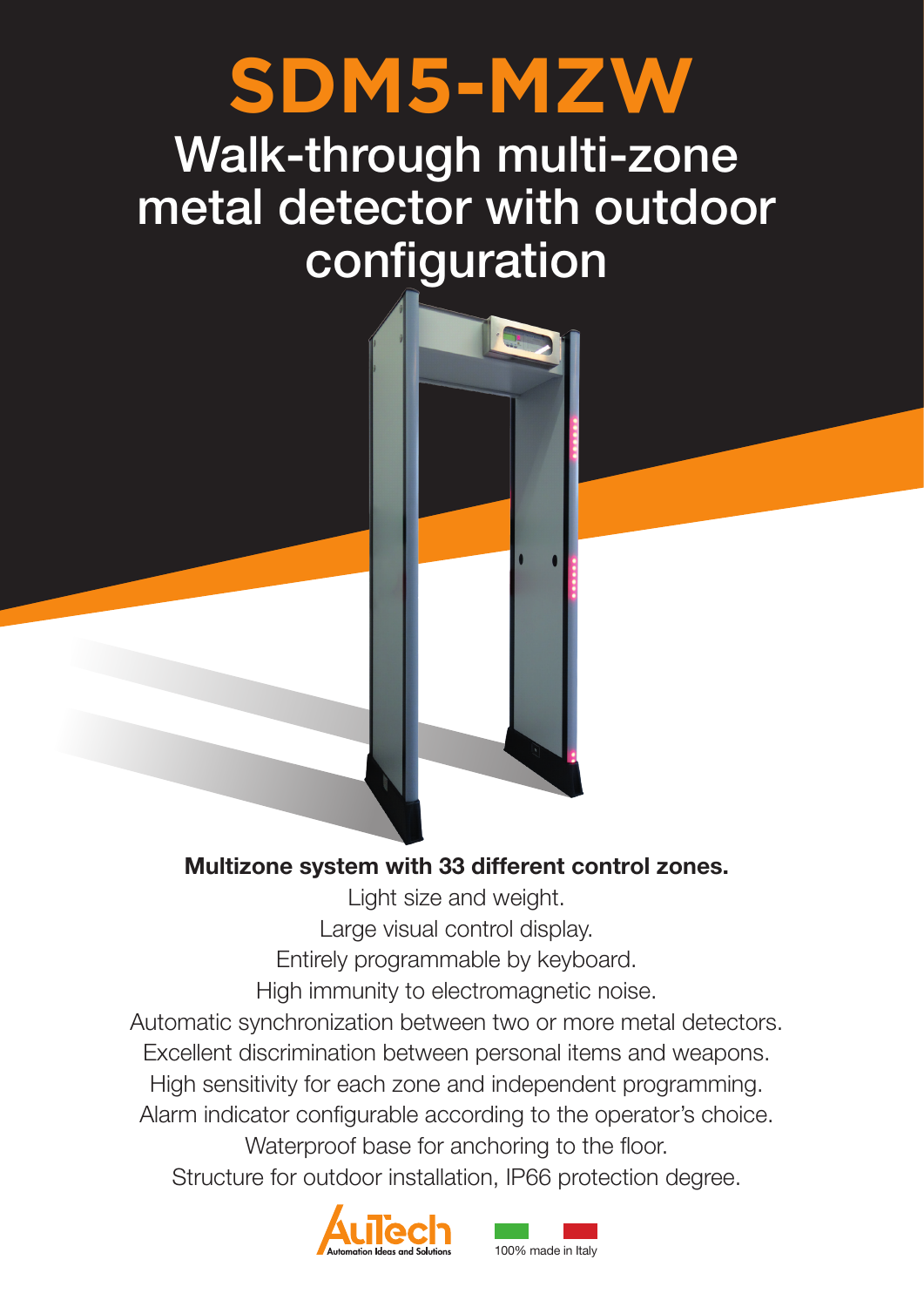# **SDM5-MZW**

# Walk-through multi-zone metal detector with outdoor configuration



Light size and weight. Large visual control display. Entirely programmable by keyboard. High immunity to electromagnetic noise.

Automatic synchronization between two or more metal detectors.

Excellent discrimination between personal items and weapons.

High sensitivity for each zone and independent programming.

Alarm indicator configurable according to the operator's choice.

Waterproof base for anchoring to the floor. Structure for outdoor installation, IP66 protection degree.



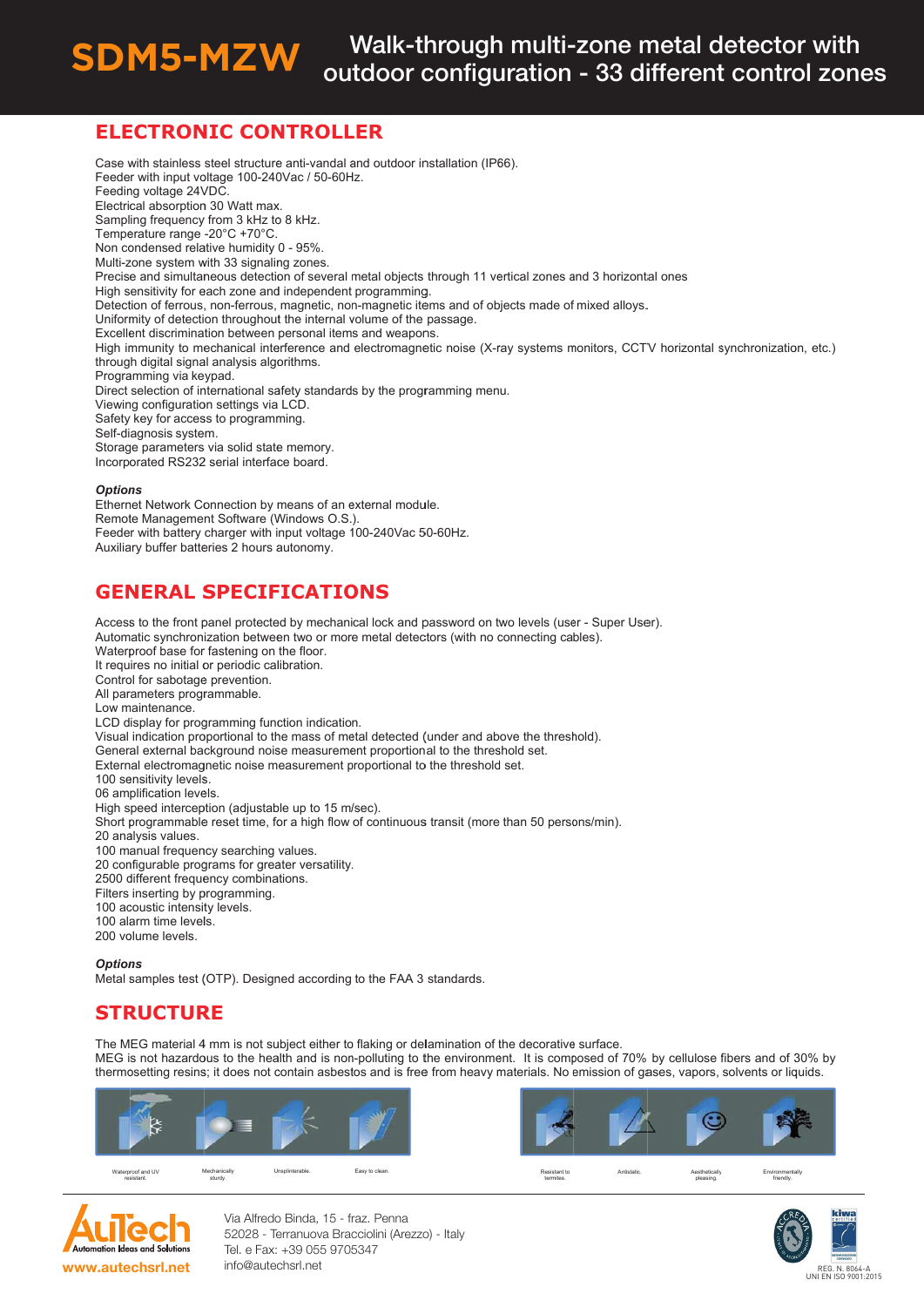#### Walk-through multi-zone metal detector with **SDM5-MZW** outdoor configuration - 33 different control zones

# **ELECTRONIC CONTROLLER**

Case with stainless steel structure anti-vandal and outdoor installation (IP66). Feeder with input voltage 100-240Vac / 50-60Hz. Feeding voltage 24VDC Electrical absorption 30 Watt max. Sampling frequency from 3 kHz to 8 kHz. Temperature range -20°C +70°C. Non condensed relative humidity 0 - 95%. Multi-zone system with 33 signaling zones. Precise and simultaneous detection of several metal objects through 11 vertical zones and 3 horizontal ones High sensitivity for each zone and independent programming. Detection of ferrous, non-ferrous, magnetic, non-magnetic items and of objects made of mixed alloys. Uniformity of detection throughout the internal volume of the passage Excellent discrimination between personal items and weapons. High immunity to mechanical interference and electromagnetic noise (X-ray systems monitors, CCTV horizontal synchronization, etc.) through digital signal analysis algorithms. Programming via keypad. Direct selection of international safety standards by the programming menu. Viewing configuration settings via LCD. Safety key for access to programming. Self-diagnosis system. Storage parameters via solid state memory. Incorporated RS232 serial interface board. **Options** Ethernet Network Connection by means of an external module. Remote Management Software (Windows O.S.). Feeder with battery charger with input voltage 100-240Vac 50-60Hz. Auxiliary buffer batteries 2 hours autonomy.

## **GENERAL SPECIFICATIONS**

Access to the front panel protected by mechanical lock and password on two levels (user - Super User). Automatic synchronization between two or more metal detectors (with no connecting cables). Waterproof base for fastening on the floor. It requires no initial or periodic calibration. Control for sabotage prevention. All parameters programmable. Low maintenance LCD display for programming function indication. Visual indication proportional to the mass of metal detected (under and above the threshold). General external background noise measurement proportional to the threshold set. External electromagnetic noise measurement proportional to the threshold set. 100 sensitivity levels. 06 amplification levels. High speed interception (adjustable up to 15 m/sec). Short programmable reset time, for a high flow of continuous transit (more than 50 persons/min). 20 analysis values. 100 manual frequency searching values. 20 configurable programs for greater versatility. 2500 different frequency combinations. Filters inserting by programming. 100 acoustic intensity levels. 100 alarm time levels. 200 volume levels.

Ontions

Metal samples test (OTP). Designed according to the FAA 3 standards.

# **STRUCTURE**

The MEG material 4 mm is not subject either to flaking or delamination of the decorative surface. MEG is not hazardous to the health and is non-polluting to the environment. It is composed of 70% by cellulose fibers and of 30% by thermosetting resins; it does not contain asbestos and is free from heavy materials. No emission of gases, vapors, solvents or liquids.





Via Alfredo Binda, 15 - fraz. Penna 52028 - Terranuova Bracciolini (Arezzo) - Italy Tel. e Fax: +39 055 9705347 info@autechsrl.net